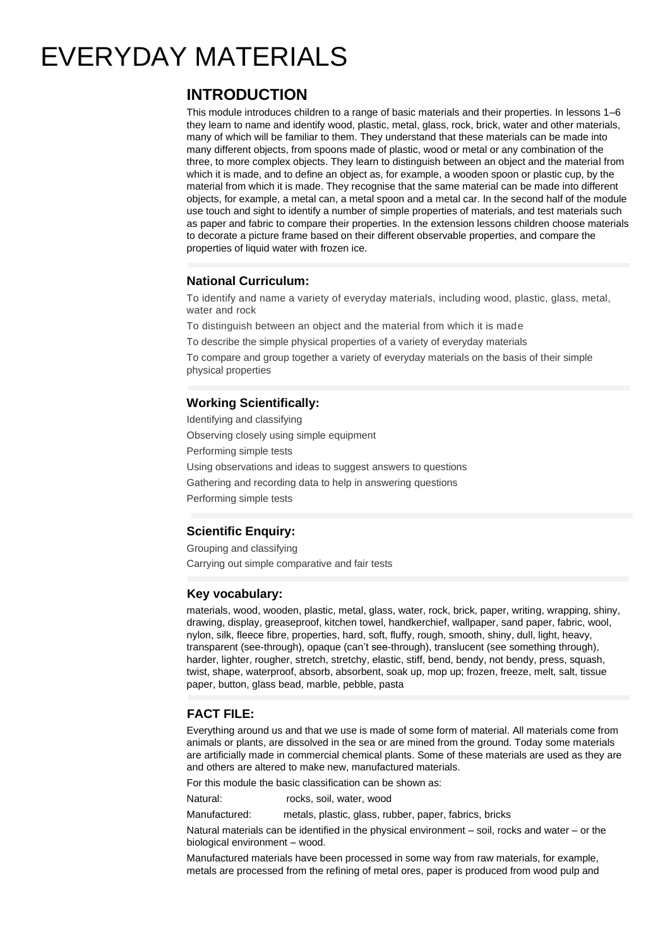# EVERYDAY MATERIALS

# **INTRODUCTION**

This module introduces children to a range of basic materials and their properties. In lessons 1–6 they learn to name and identify wood, plastic, metal, glass, rock, brick, water and other materials, many of which will be familiar to them. They understand that these materials can be made into many different objects, from spoons made of plastic, wood or metal or any combination of the three, to more complex objects. They learn to distinguish between an object and the material from which it is made, and to define an object as, for example, a wooden spoon or plastic cup, by the material from which it is made. They recognise that the same material can be made into different objects, for example, a metal can, a metal spoon and a metal car. In the second half of the module use touch and sight to identify a number of simple properties of materials, and test materials such as paper and fabric to compare their properties. In the extension lessons children choose materials to decorate a picture frame based on their different observable properties, and compare the properties of liquid water with frozen ice.

### **National Curriculum:**

To identify and name a variety of everyday materials, including wood, plastic, glass, metal, water and rock

To distinguish between an object and the material from which it is made

To describe the simple physical properties of a variety of everyday materials

To compare and group together a variety of everyday materials on the basis of their simple physical properties

## **Working Scientifically:**

Identifying and classifying Observing closely using simple equipment Performing simple tests Using observations and ideas to suggest answers to questions Gathering and recording data to help in answering questions Performing simple tests

# **Scientific Enquiry:**

Grouping and classifying Carrying out simple comparative and fair tests

#### **Key vocabulary:**

materials, wood, wooden, plastic, metal, glass, water, rock, brick, paper, writing, wrapping, shiny, drawing, display, greaseproof, kitchen towel, handkerchief, wallpaper, sand paper, fabric, wool, nylon, silk, fleece fibre, properties, hard, soft, fluffy, rough, smooth, shiny, dull, light, heavy, transparent (see-through), opaque (can't see-through), translucent (see something through), harder, lighter, rougher, stretch, stretchy, elastic, stiff, bend, bendy, not bendy, press, squash, twist, shape, waterproof, absorb, absorbent, soak up, mop up; frozen, freeze, melt, salt, tissue paper, button, glass bead, marble, pebble, pasta

#### **FACT FILE:**

Everything around us and that we use is made of some form of material. All materials come from animals or plants, are dissolved in the sea or are mined from the ground. Today some materials are artificially made in commercial chemical plants. Some of these materials are used as they are and others are altered to make new, manufactured materials.

For this module the basic classification can be shown as:

Natural: rocks, soil, water, wood

Manufactured: metals, plastic, glass, rubber, paper, fabrics, bricks

Natural materials can be identified in the physical environment – soil, rocks and water – or the biological environment – wood.

Manufactured materials have been processed in some way from raw materials, for example, metals are processed from the refining of metal ores, paper is produced from wood pulp and